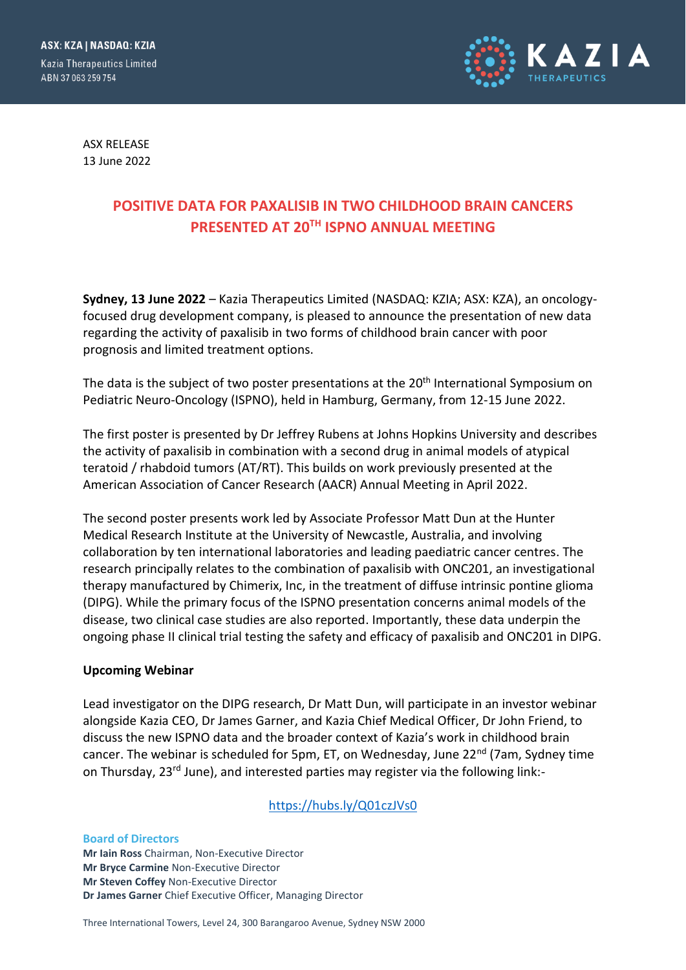

ASX RELEASE 13 June 2022

# **POSITIVE DATA FOR PAXALISIB IN TWO CHILDHOOD BRAIN CANCERS PRESENTED AT 20TH ISPNO ANNUAL MEETING**

**Sydney, 13 June 2022** – Kazia Therapeutics Limited (NASDAQ: KZIA; ASX: KZA), an oncologyfocused drug development company, is pleased to announce the presentation of new data regarding the activity of paxalisib in two forms of childhood brain cancer with poor prognosis and limited treatment options.

The data is the subject of two poster presentations at the 20<sup>th</sup> International Symposium on Pediatric Neuro-Oncology (ISPNO), held in Hamburg, Germany, from 12-15 June 2022.

The first poster is presented by Dr Jeffrey Rubens at Johns Hopkins University and describes the activity of paxalisib in combination with a second drug in animal models of atypical teratoid / rhabdoid tumors (AT/RT). This builds on work previously presented at the American Association of Cancer Research (AACR) Annual Meeting in April 2022.

The second poster presents work led by Associate Professor Matt Dun at the Hunter Medical Research Institute at the University of Newcastle, Australia, and involving collaboration by ten international laboratories and leading paediatric cancer centres. The research principally relates to the combination of paxalisib with ONC201, an investigational therapy manufactured by Chimerix, Inc, in the treatment of diffuse intrinsic pontine glioma (DIPG). While the primary focus of the ISPNO presentation concerns animal models of the disease, two clinical case studies are also reported. Importantly, these data underpin the ongoing phase II clinical trial testing the safety and efficacy of paxalisib and ONC201 in DIPG.

### **Upcoming Webinar**

Lead investigator on the DIPG research, Dr Matt Dun, will participate in an investor webinar alongside Kazia CEO, Dr James Garner, and Kazia Chief Medical Officer, Dr John Friend, to discuss the new ISPNO data and the broader context of Kazia's work in childhood brain cancer. The webinar is scheduled for 5pm, ET, on Wednesday, June 22<sup>nd</sup> (7am, Sydney time on Thursday, 23rd June), and interested parties may register via the following link:-

<https://hubs.ly/Q01czJVs0>

#### **Board of Directors**

**Mr Iain Ross** Chairman, Non-Executive Director **Mr Bryce Carmine** Non-Executive Director **Mr Steven Coffey** Non-Executive Director **Dr James Garner** Chief Executive Officer, Managing Director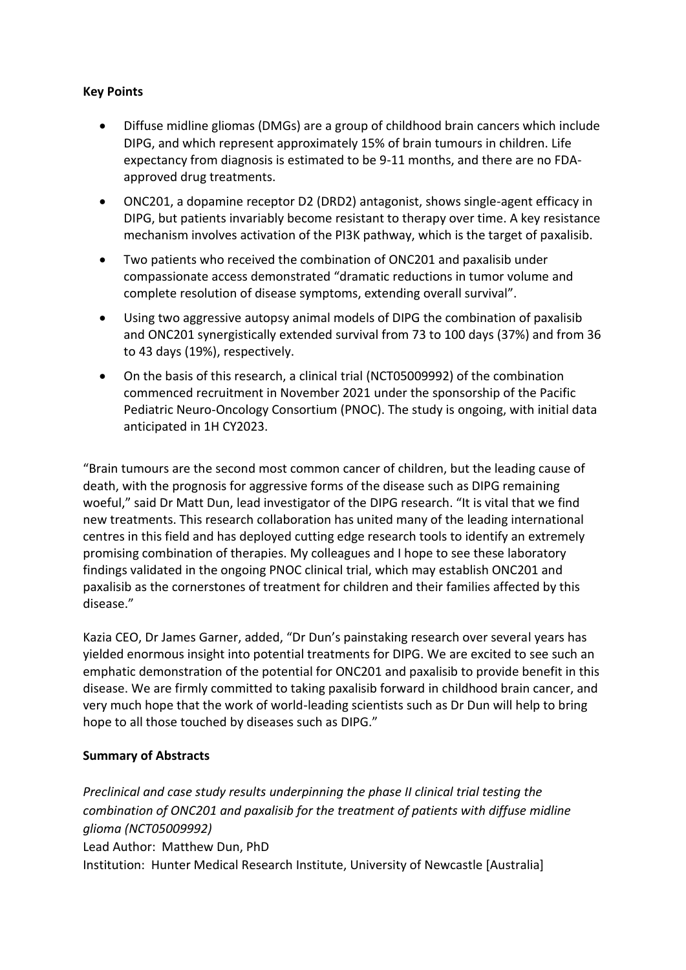## **Key Points**

- Diffuse midline gliomas (DMGs) are a group of childhood brain cancers which include DIPG, and which represent approximately 15% of brain tumours in children. Life expectancy from diagnosis is estimated to be 9-11 months, and there are no FDAapproved drug treatments.
- ONC201, a dopamine receptor D2 (DRD2) antagonist, shows single-agent efficacy in DIPG, but patients invariably become resistant to therapy over time. A key resistance mechanism involves activation of the PI3K pathway, which is the target of paxalisib.
- Two patients who received the combination of ONC201 and paxalisib under compassionate access demonstrated "dramatic reductions in tumor volume and complete resolution of disease symptoms, extending overall survival".
- Using two aggressive autopsy animal models of DIPG the combination of paxalisib and ONC201 synergistically extended survival from 73 to 100 days (37%) and from 36 to 43 days (19%), respectively.
- On the basis of this research, a clinical trial (NCT05009992) of the combination commenced recruitment in November 2021 under the sponsorship of the Pacific Pediatric Neuro-Oncology Consortium (PNOC). The study is ongoing, with initial data anticipated in 1H CY2023.

"Brain tumours are the second most common cancer of children, but the leading cause of death, with the prognosis for aggressive forms of the disease such as DIPG remaining woeful," said Dr Matt Dun, lead investigator of the DIPG research. "It is vital that we find new treatments. This research collaboration has united many of the leading international centres in this field and has deployed cutting edge research tools to identify an extremely promising combination of therapies. My colleagues and I hope to see these laboratory findings validated in the ongoing PNOC clinical trial, which may establish ONC201 and paxalisib as the cornerstones of treatment for children and their families affected by this disease."

Kazia CEO, Dr James Garner, added, "Dr Dun's painstaking research over several years has yielded enormous insight into potential treatments for DIPG. We are excited to see such an emphatic demonstration of the potential for ONC201 and paxalisib to provide benefit in this disease. We are firmly committed to taking paxalisib forward in childhood brain cancer, and very much hope that the work of world-leading scientists such as Dr Dun will help to bring hope to all those touched by diseases such as DIPG."

### **Summary of Abstracts**

*Preclinical and case study results underpinning the phase II clinical trial testing the combination of ONC201 and paxalisib for the treatment of patients with diffuse midline glioma (NCT05009992)* Lead Author: Matthew Dun, PhD Institution: Hunter Medical Research Institute, University of Newcastle [Australia]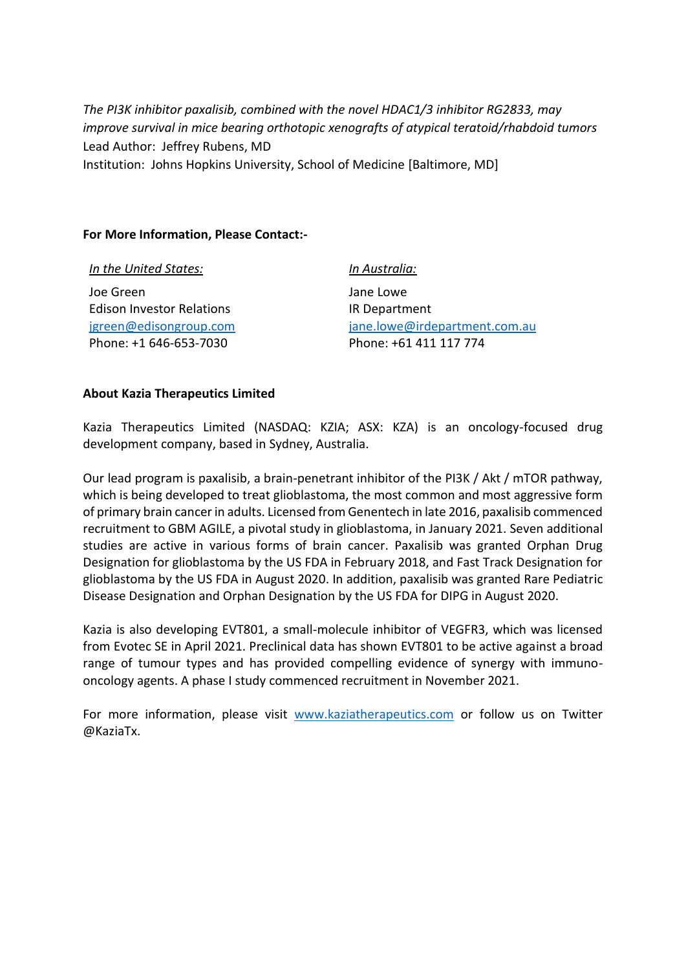*The PI3K inhibitor paxalisib, combined with the novel HDAC1/3 inhibitor RG2833, may improve survival in mice bearing orthotopic xenografts of atypical teratoid/rhabdoid tumors* Lead Author: Jeffrey Rubens, MD

Institution: Johns Hopkins University, School of Medicine [Baltimore, MD]

### **For More Information, Please Contact:-**

| In the United States:            | In Australia:                 |
|----------------------------------|-------------------------------|
| Joe Green                        | Jane Lowe                     |
| <b>Edison Investor Relations</b> | IR Department                 |
| jgreen@edisongroup.com           | jane.lowe@irdepartment.com.au |
| Phone: +1 646-653-7030           | Phone: +61 411 117 774        |

### **About Kazia Therapeutics Limited**

Kazia Therapeutics Limited (NASDAQ: KZIA; ASX: KZA) is an oncology-focused drug development company, based in Sydney, Australia.

Our lead program is paxalisib, a brain-penetrant inhibitor of the PI3K / Akt / mTOR pathway, which is being developed to treat glioblastoma, the most common and most aggressive form of primary brain cancer in adults. Licensed from Genentech in late 2016, paxalisib commenced recruitment to GBM AGILE, a pivotal study in glioblastoma, in January 2021. Seven additional studies are active in various forms of brain cancer. Paxalisib was granted Orphan Drug Designation for glioblastoma by the US FDA in February 2018, and Fast Track Designation for glioblastoma by the US FDA in August 2020. In addition, paxalisib was granted Rare Pediatric Disease Designation and Orphan Designation by the US FDA for DIPG in August 2020.

Kazia is also developing EVT801, a small-molecule inhibitor of VEGFR3, which was licensed from Evotec SE in April 2021. Preclinical data has shown EVT801 to be active against a broad range of tumour types and has provided compelling evidence of synergy with immunooncology agents. A phase I study commenced recruitment in November 2021.

For more information, please visit [www.kaziatherapeutics.com](http://www.kaziatherapeutics.com/) or follow us on Twitter @KaziaTx.